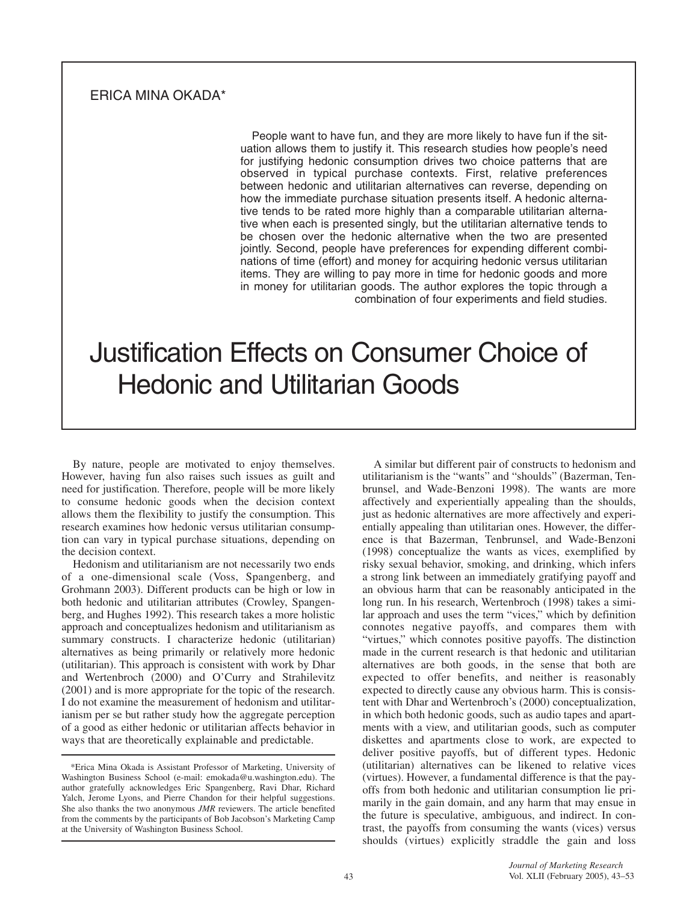# ERICA MINA OKADA\*

People want to have fun, and they are more likely to have fun if the situation allows them to justify it. This research studies how people's need for justifying hedonic consumption drives two choice patterns that are observed in typical purchase contexts. First, relative preferences between hedonic and utilitarian alternatives can reverse, depending on how the immediate purchase situation presents itself. A hedonic alternative tends to be rated more highly than a comparable utilitarian alternative when each is presented singly, but the utilitarian alternative tends to be chosen over the hedonic alternative when the two are presented jointly. Second, people have preferences for expending different combinations of time (effort) and money for acquiring hedonic versus utilitarian items. They are willing to pay more in time for hedonic goods and more in money for utilitarian goods. The author explores the topic through a combination of four experiments and field studies.

# Justification Effects on Consumer Choice of Hedonic and Utilitarian Goods

By nature, people are motivated to enjoy themselves. However, having fun also raises such issues as guilt and need for justification. Therefore, people will be more likely to consume hedonic goods when the decision context allows them the flexibility to justify the consumption. This research examines how hedonic versus utilitarian consumption can vary in typical purchase situations, depending on the decision context.

Hedonism and utilitarianism are not necessarily two ends of a one-dimensional scale (Voss, Spangenberg, and Grohmann 2003). Different products can be high or low in both hedonic and utilitarian attributes (Crowley, Spangenberg, and Hughes 1992). This research takes a more holistic approach and conceptualizes hedonism and utilitarianism as summary constructs. I characterize hedonic (utilitarian) alternatives as being primarily or relatively more hedonic (utilitarian). This approach is consistent with work by Dhar and Wertenbroch (2000) and O'Curry and Strahilevitz (2001) and is more appropriate for the topic of the research. I do not examine the measurement of hedonism and utilitarianism per se but rather study how the aggregate perception of a good as either hedonic or utilitarian affects behavior in ways that are theoretically explainable and predictable.

A similar but different pair of constructs to hedonism and utilitarianism is the "wants" and "shoulds" (Bazerman, Tenbrunsel, and Wade-Benzoni 1998). The wants are more affectively and experientially appealing than the shoulds, just as hedonic alternatives are more affectively and experientially appealing than utilitarian ones. However, the difference is that Bazerman, Tenbrunsel, and Wade-Benzoni (1998) conceptualize the wants as vices, exemplified by risky sexual behavior, smoking, and drinking, which infers a strong link between an immediately gratifying payoff and an obvious harm that can be reasonably anticipated in the long run. In his research, Wertenbroch (1998) takes a similar approach and uses the term "vices," which by definition connotes negative payoffs, and compares them with "virtues," which connotes positive payoffs. The distinction made in the current research is that hedonic and utilitarian alternatives are both goods, in the sense that both are expected to offer benefits, and neither is reasonably expected to directly cause any obvious harm. This is consistent with Dhar and Wertenbroch's (2000) conceptualization, in which both hedonic goods, such as audio tapes and apartments with a view, and utilitarian goods, such as computer diskettes and apartments close to work, are expected to deliver positive payoffs, but of different types. Hedonic (utilitarian) alternatives can be likened to relative vices (virtues). However, a fundamental difference is that the payoffs from both hedonic and utilitarian consumption lie primarily in the gain domain, and any harm that may ensue in the future is speculative, ambiguous, and indirect. In contrast, the payoffs from consuming the wants (vices) versus shoulds (virtues) explicitly straddle the gain and loss

<sup>\*</sup>Erica Mina Okada is Assistant Professor of Marketing, University of Washington Business School (e-mail: emokada@u.washington.edu). The author gratefully acknowledges Eric Spangenberg, Ravi Dhar, Richard Yalch, Jerome Lyons, and Pierre Chandon for their helpful suggestions. She also thanks the two anonymous *JMR* reviewers. The article benefited from the comments by the participants of Bob Jacobson's Marketing Camp at the University of Washington Business School.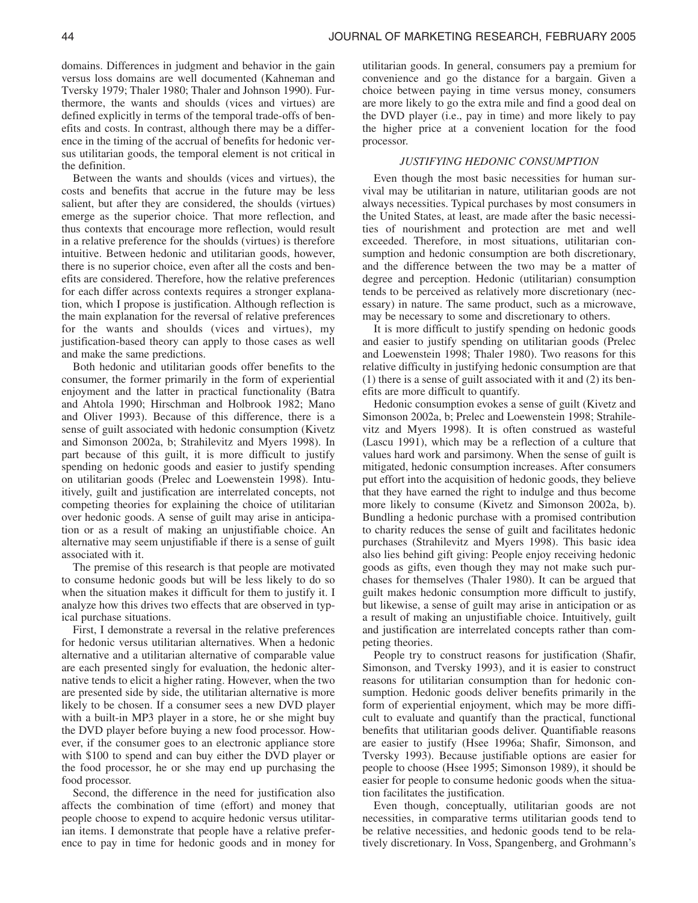domains. Differences in judgment and behavior in the gain versus loss domains are well documented (Kahneman and Tversky 1979; Thaler 1980; Thaler and Johnson 1990). Furthermore, the wants and shoulds (vices and virtues) are defined explicitly in terms of the temporal trade-offs of benefits and costs. In contrast, although there may be a difference in the timing of the accrual of benefits for hedonic versus utilitarian goods, the temporal element is not critical in the definition.

Between the wants and shoulds (vices and virtues), the costs and benefits that accrue in the future may be less salient, but after they are considered, the shoulds (virtues) emerge as the superior choice. That more reflection, and thus contexts that encourage more reflection, would result in a relative preference for the shoulds (virtues) is therefore intuitive. Between hedonic and utilitarian goods, however, there is no superior choice, even after all the costs and benefits are considered. Therefore, how the relative preferences for each differ across contexts requires a stronger explanation, which I propose is justification. Although reflection is the main explanation for the reversal of relative preferences for the wants and shoulds (vices and virtues), my justification-based theory can apply to those cases as well and make the same predictions.

Both hedonic and utilitarian goods offer benefits to the consumer, the former primarily in the form of experiential enjoyment and the latter in practical functionality (Batra and Ahtola 1990; Hirschman and Holbrook 1982; Mano and Oliver 1993). Because of this difference, there is a sense of guilt associated with hedonic consumption (Kivetz and Simonson 2002a, b; Strahilevitz and Myers 1998). In part because of this guilt, it is more difficult to justify spending on hedonic goods and easier to justify spending on utilitarian goods (Prelec and Loewenstein 1998). Intuitively, guilt and justification are interrelated concepts, not competing theories for explaining the choice of utilitarian over hedonic goods. A sense of guilt may arise in anticipation or as a result of making an unjustifiable choice. An alternative may seem unjustifiable if there is a sense of guilt associated with it.

The premise of this research is that people are motivated to consume hedonic goods but will be less likely to do so when the situation makes it difficult for them to justify it. I analyze how this drives two effects that are observed in typical purchase situations.

First, I demonstrate a reversal in the relative preferences for hedonic versus utilitarian alternatives. When a hedonic alternative and a utilitarian alternative of comparable value are each presented singly for evaluation, the hedonic alternative tends to elicit a higher rating. However, when the two are presented side by side, the utilitarian alternative is more likely to be chosen. If a consumer sees a new DVD player with a built-in MP3 player in a store, he or she might buy the DVD player before buying a new food processor. However, if the consumer goes to an electronic appliance store with \$100 to spend and can buy either the DVD player or the food processor, he or she may end up purchasing the food processor.

Second, the difference in the need for justification also affects the combination of time (effort) and money that people choose to expend to acquire hedonic versus utilitarian items. I demonstrate that people have a relative preference to pay in time for hedonic goods and in money for

utilitarian goods. In general, consumers pay a premium for convenience and go the distance for a bargain. Given a choice between paying in time versus money, consumers are more likely to go the extra mile and find a good deal on the DVD player (i.e., pay in time) and more likely to pay the higher price at a convenient location for the food processor.

# *JUSTIFYING HEDONIC CONSUMPTION*

Even though the most basic necessities for human survival may be utilitarian in nature, utilitarian goods are not always necessities. Typical purchases by most consumers in the United States, at least, are made after the basic necessities of nourishment and protection are met and well exceeded. Therefore, in most situations, utilitarian consumption and hedonic consumption are both discretionary, and the difference between the two may be a matter of degree and perception. Hedonic (utilitarian) consumption tends to be perceived as relatively more discretionary (necessary) in nature. The same product, such as a microwave, may be necessary to some and discretionary to others.

It is more difficult to justify spending on hedonic goods and easier to justify spending on utilitarian goods (Prelec and Loewenstein 1998; Thaler 1980). Two reasons for this relative difficulty in justifying hedonic consumption are that (1) there is a sense of guilt associated with it and (2) its benefits are more difficult to quantify.

Hedonic consumption evokes a sense of guilt (Kivetz and Simonson 2002a, b; Prelec and Loewenstein 1998; Strahilevitz and Myers 1998). It is often construed as wasteful (Lascu 1991), which may be a reflection of a culture that values hard work and parsimony. When the sense of guilt is mitigated, hedonic consumption increases. After consumers put effort into the acquisition of hedonic goods, they believe that they have earned the right to indulge and thus become more likely to consume (Kivetz and Simonson 2002a, b). Bundling a hedonic purchase with a promised contribution to charity reduces the sense of guilt and facilitates hedonic purchases (Strahilevitz and Myers 1998). This basic idea also lies behind gift giving: People enjoy receiving hedonic goods as gifts, even though they may not make such purchases for themselves (Thaler 1980). It can be argued that guilt makes hedonic consumption more difficult to justify, but likewise, a sense of guilt may arise in anticipation or as a result of making an unjustifiable choice. Intuitively, guilt and justification are interrelated concepts rather than competing theories.

People try to construct reasons for justification (Shafir, Simonson, and Tversky 1993), and it is easier to construct reasons for utilitarian consumption than for hedonic consumption. Hedonic goods deliver benefits primarily in the form of experiential enjoyment, which may be more difficult to evaluate and quantify than the practical, functional benefits that utilitarian goods deliver. Quantifiable reasons are easier to justify (Hsee 1996a; Shafir, Simonson, and Tversky 1993). Because justifiable options are easier for people to choose (Hsee 1995; Simonson 1989), it should be easier for people to consume hedonic goods when the situation facilitates the justification.

Even though, conceptually, utilitarian goods are not necessities, in comparative terms utilitarian goods tend to be relative necessities, and hedonic goods tend to be relatively discretionary. In Voss, Spangenberg, and Grohmann's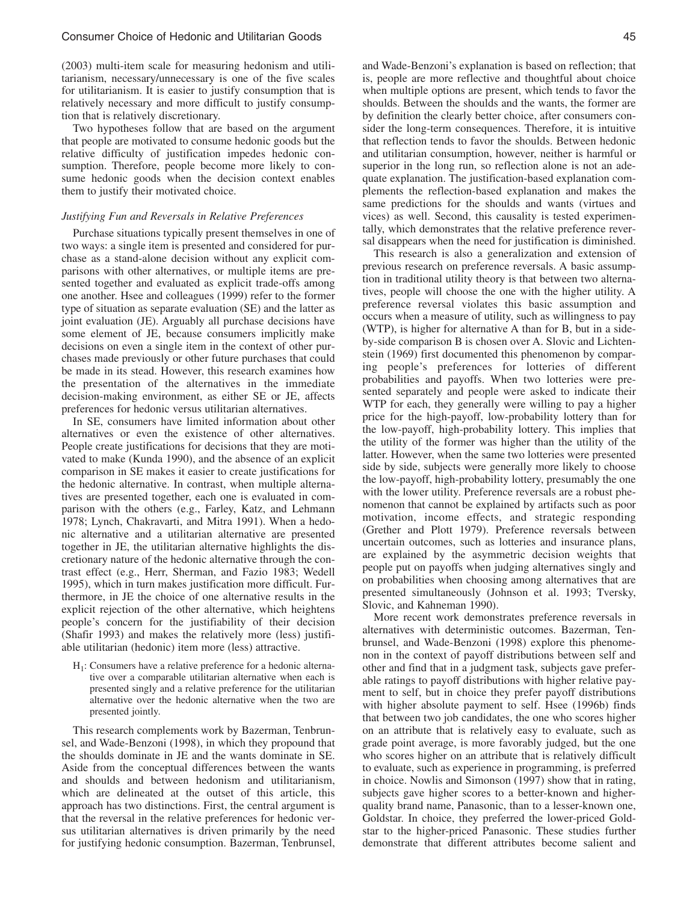(2003) multi-item scale for measuring hedonism and utilitarianism, necessary/unnecessary is one of the five scales for utilitarianism. It is easier to justify consumption that is relatively necessary and more difficult to justify consumption that is relatively discretionary.

Two hypotheses follow that are based on the argument that people are motivated to consume hedonic goods but the relative difficulty of justification impedes hedonic consumption. Therefore, people become more likely to consume hedonic goods when the decision context enables them to justify their motivated choice.

#### *Justifying Fun and Reversals in Relative Preferences*

Purchase situations typically present themselves in one of two ways: a single item is presented and considered for purchase as a stand-alone decision without any explicit comparisons with other alternatives, or multiple items are presented together and evaluated as explicit trade-offs among one another. Hsee and colleagues (1999) refer to the former type of situation as separate evaluation (SE) and the latter as joint evaluation (JE). Arguably all purchase decisions have some element of JE, because consumers implicitly make decisions on even a single item in the context of other purchases made previously or other future purchases that could be made in its stead. However, this research examines how the presentation of the alternatives in the immediate decision-making environment, as either SE or JE, affects preferences for hedonic versus utilitarian alternatives.

In SE, consumers have limited information about other alternatives or even the existence of other alternatives. People create justifications for decisions that they are motivated to make (Kunda 1990), and the absence of an explicit comparison in SE makes it easier to create justifications for the hedonic alternative. In contrast, when multiple alternatives are presented together, each one is evaluated in comparison with the others (e.g., Farley, Katz, and Lehmann 1978; Lynch, Chakravarti, and Mitra 1991). When a hedonic alternative and a utilitarian alternative are presented together in JE, the utilitarian alternative highlights the discretionary nature of the hedonic alternative through the contrast effect (e.g., Herr, Sherman, and Fazio 1983; Wedell 1995), which in turn makes justification more difficult. Furthermore, in JE the choice of one alternative results in the explicit rejection of the other alternative, which heightens people's concern for the justifiability of their decision (Shafir 1993) and makes the relatively more (less) justifiable utilitarian (hedonic) item more (less) attractive.

H1: Consumers have a relative preference for a hedonic alternative over a comparable utilitarian alternative when each is presented singly and a relative preference for the utilitarian alternative over the hedonic alternative when the two are presented jointly.

This research complements work by Bazerman, Tenbrunsel, and Wade-Benzoni (1998), in which they propound that the shoulds dominate in JE and the wants dominate in SE. Aside from the conceptual differences between the wants and shoulds and between hedonism and utilitarianism, which are delineated at the outset of this article, this approach has two distinctions. First, the central argument is that the reversal in the relative preferences for hedonic versus utilitarian alternatives is driven primarily by the need for justifying hedonic consumption. Bazerman, Tenbrunsel,

and Wade-Benzoni's explanation is based on reflection; that is, people are more reflective and thoughtful about choice when multiple options are present, which tends to favor the shoulds. Between the shoulds and the wants, the former are by definition the clearly better choice, after consumers consider the long-term consequences. Therefore, it is intuitive that reflection tends to favor the shoulds. Between hedonic and utilitarian consumption, however, neither is harmful or superior in the long run, so reflection alone is not an adequate explanation. The justification-based explanation complements the reflection-based explanation and makes the same predictions for the shoulds and wants (virtues and vices) as well. Second, this causality is tested experimentally, which demonstrates that the relative preference reversal disappears when the need for justification is diminished.

This research is also a generalization and extension of previous research on preference reversals. A basic assumption in traditional utility theory is that between two alternatives, people will choose the one with the higher utility. A preference reversal violates this basic assumption and occurs when a measure of utility, such as willingness to pay (WTP), is higher for alternative A than for B, but in a sideby-side comparison B is chosen over A. Slovic and Lichtenstein (1969) first documented this phenomenon by comparing people's preferences for lotteries of different probabilities and payoffs. When two lotteries were presented separately and people were asked to indicate their WTP for each, they generally were willing to pay a higher price for the high-payoff, low-probability lottery than for the low-payoff, high-probability lottery. This implies that the utility of the former was higher than the utility of the latter. However, when the same two lotteries were presented side by side, subjects were generally more likely to choose the low-payoff, high-probability lottery, presumably the one with the lower utility. Preference reversals are a robust phenomenon that cannot be explained by artifacts such as poor motivation, income effects, and strategic responding (Grether and Plott 1979). Preference reversals between uncertain outcomes, such as lotteries and insurance plans, are explained by the asymmetric decision weights that people put on payoffs when judging alternatives singly and on probabilities when choosing among alternatives that are presented simultaneously (Johnson et al. 1993; Tversky, Slovic, and Kahneman 1990).

More recent work demonstrates preference reversals in alternatives with deterministic outcomes. Bazerman, Tenbrunsel, and Wade-Benzoni (1998) explore this phenomenon in the context of payoff distributions between self and other and find that in a judgment task, subjects gave preferable ratings to payoff distributions with higher relative payment to self, but in choice they prefer payoff distributions with higher absolute payment to self. Hsee (1996b) finds that between two job candidates, the one who scores higher on an attribute that is relatively easy to evaluate, such as grade point average, is more favorably judged, but the one who scores higher on an attribute that is relatively difficult to evaluate, such as experience in programming, is preferred in choice. Nowlis and Simonson (1997) show that in rating, subjects gave higher scores to a better-known and higherquality brand name, Panasonic, than to a lesser-known one, Goldstar. In choice, they preferred the lower-priced Goldstar to the higher-priced Panasonic. These studies further demonstrate that different attributes become salient and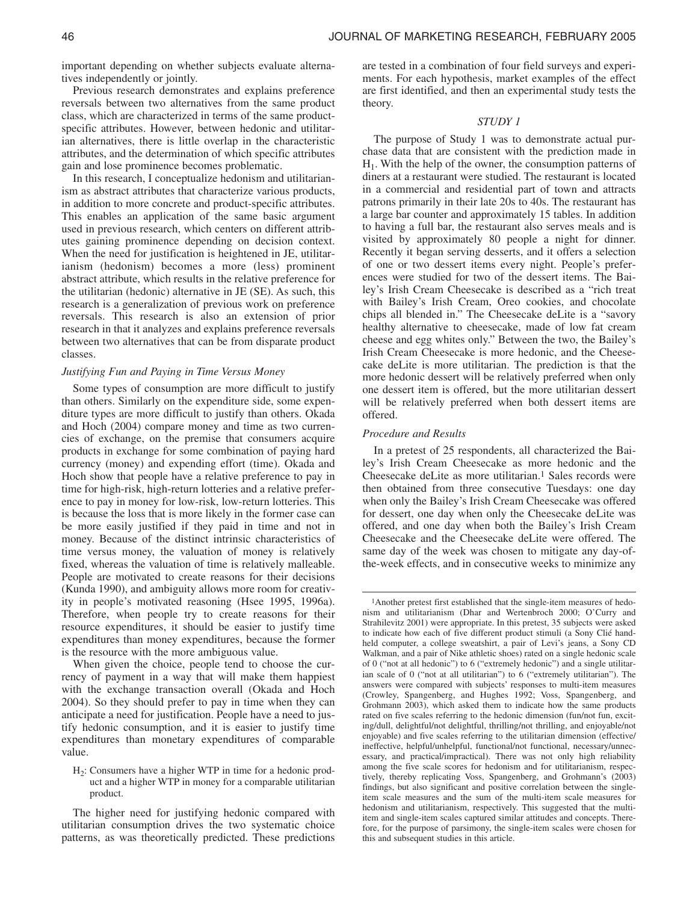important depending on whether subjects evaluate alternatives independently or jointly.

Previous research demonstrates and explains preference reversals between two alternatives from the same product class, which are characterized in terms of the same productspecific attributes. However, between hedonic and utilitarian alternatives, there is little overlap in the characteristic attributes, and the determination of which specific attributes gain and lose prominence becomes problematic.

In this research, I conceptualize hedonism and utilitarianism as abstract attributes that characterize various products, in addition to more concrete and product-specific attributes. This enables an application of the same basic argument used in previous research, which centers on different attributes gaining prominence depending on decision context. When the need for justification is heightened in JE, utilitarianism (hedonism) becomes a more (less) prominent abstract attribute, which results in the relative preference for the utilitarian (hedonic) alternative in JE (SE). As such, this research is a generalization of previous work on preference reversals. This research is also an extension of prior research in that it analyzes and explains preference reversals between two alternatives that can be from disparate product classes.

#### *Justifying Fun and Paying in Time Versus Money*

Some types of consumption are more difficult to justify than others. Similarly on the expenditure side, some expenditure types are more difficult to justify than others. Okada and Hoch (2004) compare money and time as two currencies of exchange, on the premise that consumers acquire products in exchange for some combination of paying hard currency (money) and expending effort (time). Okada and Hoch show that people have a relative preference to pay in time for high-risk, high-return lotteries and a relative preference to pay in money for low-risk, low-return lotteries. This is because the loss that is more likely in the former case can be more easily justified if they paid in time and not in money. Because of the distinct intrinsic characteristics of time versus money, the valuation of money is relatively fixed, whereas the valuation of time is relatively malleable. People are motivated to create reasons for their decisions (Kunda 1990), and ambiguity allows more room for creativity in people's motivated reasoning (Hsee 1995, 1996a). Therefore, when people try to create reasons for their resource expenditures, it should be easier to justify time expenditures than money expenditures, because the former is the resource with the more ambiguous value.

When given the choice, people tend to choose the currency of payment in a way that will make them happiest with the exchange transaction overall (Okada and Hoch 2004). So they should prefer to pay in time when they can anticipate a need for justification. People have a need to justify hedonic consumption, and it is easier to justify time expenditures than monetary expenditures of comparable value.

The higher need for justifying hedonic compared with utilitarian consumption drives the two systematic choice patterns, as was theoretically predicted. These predictions

are tested in a combination of four field surveys and experiments. For each hypothesis, market examples of the effect are first identified, and then an experimental study tests the theory.

# *STUDY 1*

The purpose of Study 1 was to demonstrate actual purchase data that are consistent with the prediction made in  $H<sub>1</sub>$ . With the help of the owner, the consumption patterns of diners at a restaurant were studied. The restaurant is located in a commercial and residential part of town and attracts patrons primarily in their late 20s to 40s. The restaurant has a large bar counter and approximately 15 tables. In addition to having a full bar, the restaurant also serves meals and is visited by approximately 80 people a night for dinner. Recently it began serving desserts, and it offers a selection of one or two dessert items every night. People's preferences were studied for two of the dessert items. The Bailey's Irish Cream Cheesecake is described as a "rich treat with Bailey's Irish Cream, Oreo cookies, and chocolate chips all blended in." The Cheesecake deLite is a "savory healthy alternative to cheesecake, made of low fat cream cheese and egg whites only." Between the two, the Bailey's Irish Cream Cheesecake is more hedonic, and the Cheesecake deLite is more utilitarian. The prediction is that the more hedonic dessert will be relatively preferred when only one dessert item is offered, but the more utilitarian dessert will be relatively preferred when both dessert items are offered.

# *Procedure and Results*

In a pretest of 25 respondents, all characterized the Bailey's Irish Cream Cheesecake as more hedonic and the Cheesecake deLite as more utilitarian.1 Sales records were then obtained from three consecutive Tuesdays: one day when only the Bailey's Irish Cream Cheesecake was offered for dessert, one day when only the Cheesecake deLite was offered, and one day when both the Bailey's Irish Cream Cheesecake and the Cheesecake deLite were offered. The same day of the week was chosen to mitigate any day-ofthe-week effects, and in consecutive weeks to minimize any

 $H<sub>2</sub>$ : Consumers have a higher WTP in time for a hedonic product and a higher WTP in money for a comparable utilitarian product.

<sup>1</sup>Another pretest first established that the single-item measures of hedonism and utilitarianism (Dhar and Wertenbroch 2000; O'Curry and Strahilevitz 2001) were appropriate. In this pretest, 35 subjects were asked to indicate how each of five different product stimuli (a Sony Clié handheld computer, a college sweatshirt, a pair of Levi's jeans, a Sony CD Walkman, and a pair of Nike athletic shoes) rated on a single hedonic scale of 0 ("not at all hedonic") to 6 ("extremely hedonic") and a single utilitarian scale of 0 ("not at all utilitarian") to 6 ("extremely utilitarian"). The answers were compared with subjects' responses to multi-item measures (Crowley, Spangenberg, and Hughes 1992; Voss, Spangenberg, and Grohmann 2003), which asked them to indicate how the same products rated on five scales referring to the hedonic dimension (fun/not fun, exciting/dull, delightful/not delightful, thrilling/not thrilling, and enjoyable/not enjoyable) and five scales referring to the utilitarian dimension (effective/ ineffective, helpful/unhelpful, functional/not functional, necessary/unnecessary, and practical/impractical). There was not only high reliability among the five scale scores for hedonism and for utilitarianism, respectively, thereby replicating Voss, Spangenberg, and Grohmann's (2003) findings, but also significant and positive correlation between the singleitem scale measures and the sum of the multi-item scale measures for hedonism and utilitarianism, respectively. This suggested that the multiitem and single-item scales captured similar attitudes and concepts. Therefore, for the purpose of parsimony, the single-item scales were chosen for this and subsequent studies in this article.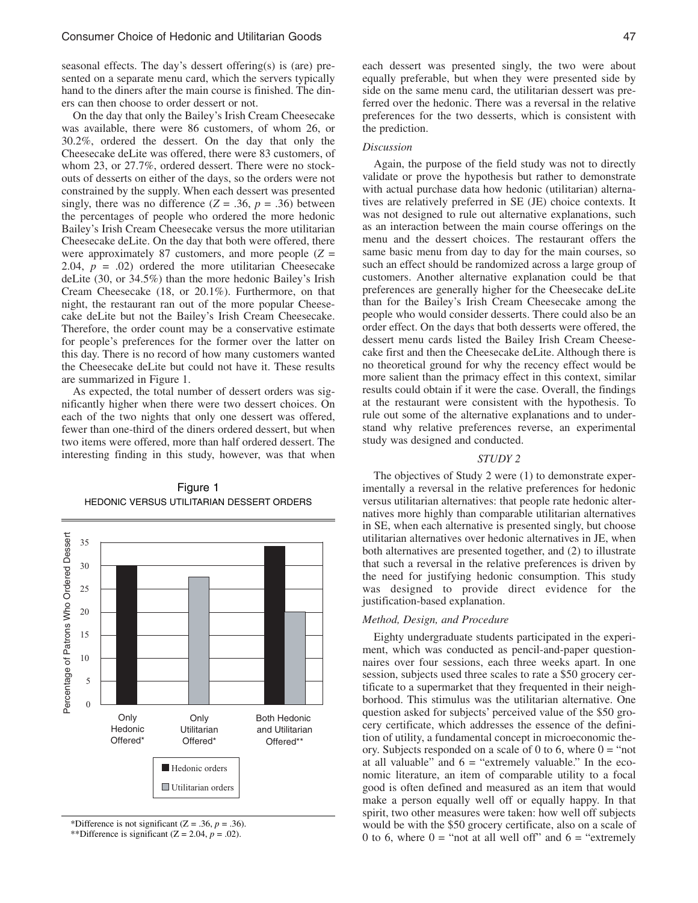seasonal effects. The day's dessert offering(s) is (are) presented on a separate menu card, which the servers typically hand to the diners after the main course is finished. The diners can then choose to order dessert or not.

On the day that only the Bailey's Irish Cream Cheesecake was available, there were 86 customers, of whom 26, or 30.2%, ordered the dessert. On the day that only the Cheesecake deLite was offered, there were 83 customers, of whom 23, or 27.7%, ordered dessert. There were no stockouts of desserts on either of the days, so the orders were not constrained by the supply. When each dessert was presented singly, there was no difference  $(Z = .36, p = .36)$  between the percentages of people who ordered the more hedonic Bailey's Irish Cream Cheesecake versus the more utilitarian Cheesecake deLite. On the day that both were offered, there were approximately 87 customers, and more people  $(Z =$ 2.04,  $p = .02$ ) ordered the more utilitarian Cheesecake deLite (30, or 34.5%) than the more hedonic Bailey's Irish Cream Cheesecake (18, or 20.1%). Furthermore, on that night, the restaurant ran out of the more popular Cheesecake deLite but not the Bailey's Irish Cream Cheesecake. Therefore, the order count may be a conservative estimate for people's preferences for the former over the latter on this day. There is no record of how many customers wanted the Cheesecake deLite but could not have it. These results are summarized in Figure 1.

As expected, the total number of dessert orders was significantly higher when there were two dessert choices. On each of the two nights that only one dessert was offered, fewer than one-third of the diners ordered dessert, but when two items were offered, more than half ordered dessert. The interesting finding in this study, however, was that when



# Figure 1 HEDONIC VERSUS UTILITARIAN DESSERT ORDERS

\*Difference is not significant  $(Z = .36, p = .36)$ . \*\*Difference is significant  $(Z = 2.04, p = .02)$ .

each dessert was presented singly, the two were about equally preferable, but when they were presented side by side on the same menu card, the utilitarian dessert was preferred over the hedonic. There was a reversal in the relative preferences for the two desserts, which is consistent with the prediction.

#### *Discussion*

Again, the purpose of the field study was not to directly validate or prove the hypothesis but rather to demonstrate with actual purchase data how hedonic (utilitarian) alternatives are relatively preferred in SE (JE) choice contexts. It was not designed to rule out alternative explanations, such as an interaction between the main course offerings on the menu and the dessert choices. The restaurant offers the same basic menu from day to day for the main courses, so such an effect should be randomized across a large group of customers. Another alternative explanation could be that preferences are generally higher for the Cheesecake deLite than for the Bailey's Irish Cream Cheesecake among the people who would consider desserts. There could also be an order effect. On the days that both desserts were offered, the dessert menu cards listed the Bailey Irish Cream Cheesecake first and then the Cheesecake deLite. Although there is no theoretical ground for why the recency effect would be more salient than the primacy effect in this context, similar results could obtain if it were the case. Overall, the findings at the restaurant were consistent with the hypothesis. To rule out some of the alternative explanations and to understand why relative preferences reverse, an experimental study was designed and conducted.

# *STUDY 2*

The objectives of Study 2 were (1) to demonstrate experimentally a reversal in the relative preferences for hedonic versus utilitarian alternatives: that people rate hedonic alternatives more highly than comparable utilitarian alternatives in SE, when each alternative is presented singly, but choose utilitarian alternatives over hedonic alternatives in JE, when both alternatives are presented together, and (2) to illustrate that such a reversal in the relative preferences is driven by the need for justifying hedonic consumption. This study was designed to provide direct evidence for the justification-based explanation.

# *Method, Design, and Procedure*

Eighty undergraduate students participated in the experiment, which was conducted as pencil-and-paper questionnaires over four sessions, each three weeks apart. In one session, subjects used three scales to rate a \$50 grocery certificate to a supermarket that they frequented in their neighborhood. This stimulus was the utilitarian alternative. One question asked for subjects' perceived value of the \$50 grocery certificate, which addresses the essence of the definition of utility, a fundamental concept in microeconomic theory. Subjects responded on a scale of 0 to 6, where  $0 =$  "not at all valuable" and  $6 =$  "extremely valuable." In the economic literature, an item of comparable utility to a focal good is often defined and measured as an item that would make a person equally well off or equally happy. In that spirit, two other measures were taken: how well off subjects would be with the \$50 grocery certificate, also on a scale of 0 to 6, where  $0 =$  "not at all well off" and  $6 =$  "extremely"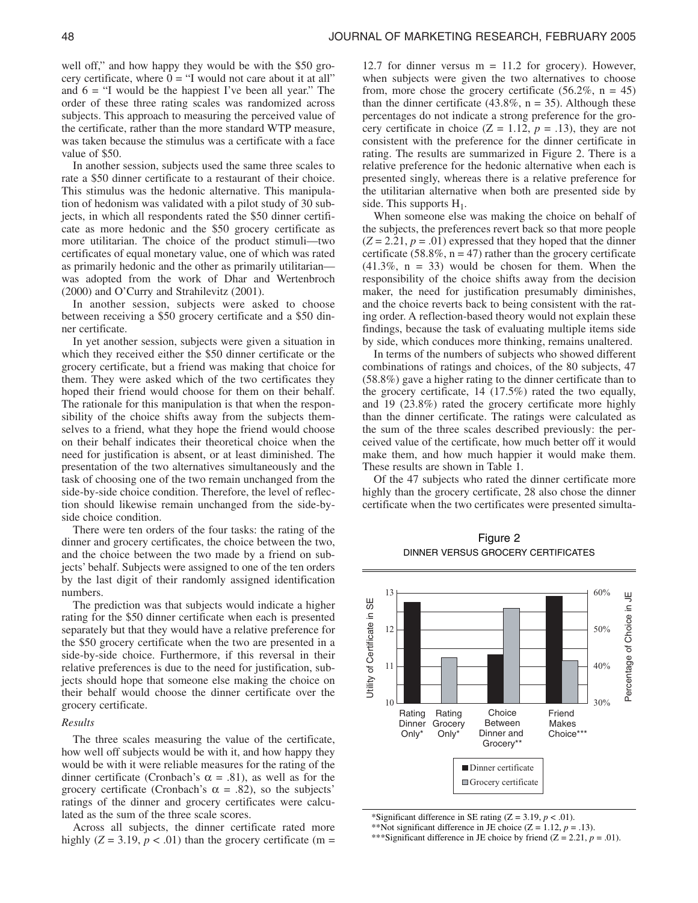well off," and how happy they would be with the \$50 grocery certificate, where  $0 =$  "I would not care about it at all" and  $6 =$  "I would be the happiest I've been all year." The order of these three rating scales was randomized across subjects. This approach to measuring the perceived value of the certificate, rather than the more standard WTP measure, was taken because the stimulus was a certificate with a face value of \$50.

In another session, subjects used the same three scales to rate a \$50 dinner certificate to a restaurant of their choice. This stimulus was the hedonic alternative. This manipulation of hedonism was validated with a pilot study of 30 subjects, in which all respondents rated the \$50 dinner certificate as more hedonic and the \$50 grocery certificate as more utilitarian. The choice of the product stimuli—two certificates of equal monetary value, one of which was rated as primarily hedonic and the other as primarily utilitarian was adopted from the work of Dhar and Wertenbroch (2000) and O'Curry and Strahilevitz (2001).

In another session, subjects were asked to choose between receiving a \$50 grocery certificate and a \$50 dinner certificate.

In yet another session, subjects were given a situation in which they received either the \$50 dinner certificate or the grocery certificate, but a friend was making that choice for them. They were asked which of the two certificates they hoped their friend would choose for them on their behalf. The rationale for this manipulation is that when the responsibility of the choice shifts away from the subjects themselves to a friend, what they hope the friend would choose on their behalf indicates their theoretical choice when the need for justification is absent, or at least diminished. The presentation of the two alternatives simultaneously and the task of choosing one of the two remain unchanged from the side-by-side choice condition. Therefore, the level of reflection should likewise remain unchanged from the side-byside choice condition.

There were ten orders of the four tasks: the rating of the dinner and grocery certificates, the choice between the two, and the choice between the two made by a friend on subjects' behalf. Subjects were assigned to one of the ten orders by the last digit of their randomly assigned identification numbers.

The prediction was that subjects would indicate a higher rating for the \$50 dinner certificate when each is presented separately but that they would have a relative preference for the \$50 grocery certificate when the two are presented in a side-by-side choice. Furthermore, if this reversal in their relative preferences is due to the need for justification, subjects should hope that someone else making the choice on their behalf would choose the dinner certificate over the grocery certificate.

#### *Results*

The three scales measuring the value of the certificate, how well off subjects would be with it, and how happy they would be with it were reliable measures for the rating of the dinner certificate (Cronbach's  $\alpha = .81$ ), as well as for the grocery certificate (Cronbach's  $\alpha = .82$ ), so the subjects' ratings of the dinner and grocery certificates were calculated as the sum of the three scale scores.

Across all subjects, the dinner certificate rated more highly  $(Z = 3.19, p < .01)$  than the grocery certificate (m =

12.7 for dinner versus  $m = 11.2$  for grocery). However, when subjects were given the two alternatives to choose from, more chose the grocery certificate  $(56.2\%, n = 45)$ than the dinner certificate (43.8%,  $n = 35$ ). Although these percentages do not indicate a strong preference for the grocery certificate in choice  $(Z = 1.12, p = .13)$ , they are not consistent with the preference for the dinner certificate in rating. The results are summarized in Figure 2. There is a relative preference for the hedonic alternative when each is presented singly, whereas there is a relative preference for the utilitarian alternative when both are presented side by side. This supports  $H_1$ .

When someone else was making the choice on behalf of the subjects, the preferences revert back so that more people  $(Z = 2.21, p = .01)$  expressed that they hoped that the dinner certificate (58.8%,  $n = 47$ ) rather than the grocery certificate  $(41.3\%, n = 33)$  would be chosen for them. When the responsibility of the choice shifts away from the decision maker, the need for justification presumably diminishes, and the choice reverts back to being consistent with the rating order. A reflection-based theory would not explain these findings, because the task of evaluating multiple items side by side, which conduces more thinking, remains unaltered.

In terms of the numbers of subjects who showed different combinations of ratings and choices, of the 80 subjects, 47 (58.8%) gave a higher rating to the dinner certificate than to the grocery certificate, 14 (17.5%) rated the two equally, and 19 (23.8%) rated the grocery certificate more highly than the dinner certificate. The ratings were calculated as the sum of the three scales described previously: the perceived value of the certificate, how much better off it would make them, and how much happier it would make them. These results are shown in Table 1.

Of the 47 subjects who rated the dinner certificate more highly than the grocery certificate, 28 also chose the dinner certificate when the two certificates were presented simulta-

Figure 2 DINNER VERSUS GROCERY CERTIFICATES



<sup>\*</sup>Significant difference in SE rating  $(Z = 3.19, p < .01)$ . \*\*Not significant difference in JE choice  $(Z = 1.12, p = .13)$ . \*\*\*Significant difference in JE choice by friend  $(Z = 2.21, p = .01)$ .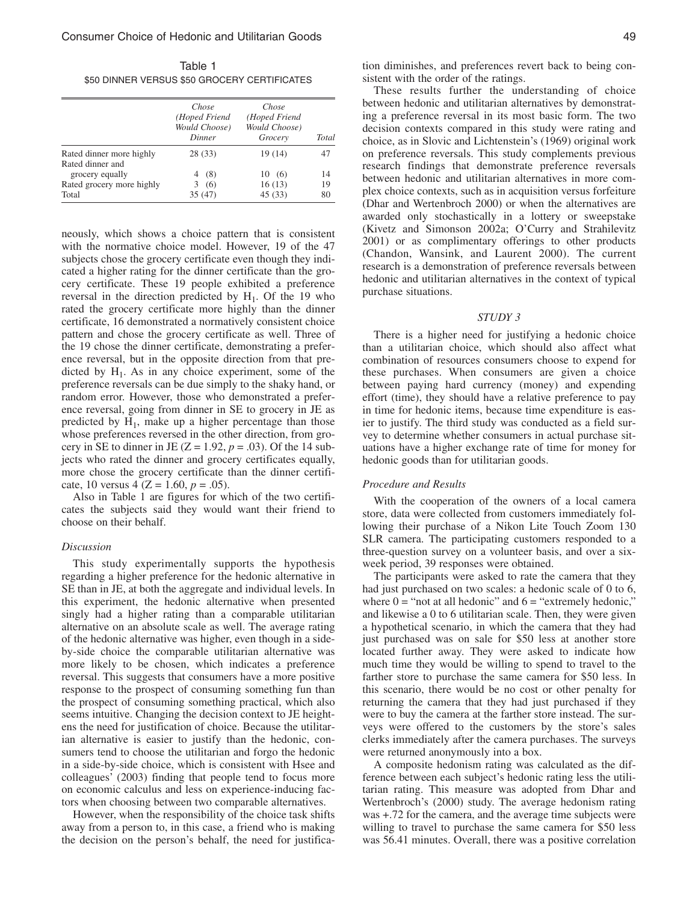Table 1 \$50 DINNER VERSUS \$50 GROCERY CERTIFICATES

|                                     | Chose<br>(Hoped Friend<br>Would Choose)<br>Dinner | Chose<br>(Hoped Friend<br>Would Choose)<br>Grocery | Total |
|-------------------------------------|---------------------------------------------------|----------------------------------------------------|-------|
| Rated dinner more highly            | 28 (33)                                           | 19(14)                                             | 47    |
| Rated dinner and<br>grocery equally | (8)<br>4                                          | 10(6)                                              | 14    |
| Rated grocery more highly           | 3(6)                                              | 16(13)                                             | 19    |
| Total                               | 35(47)                                            | 45 (33)                                            | 80    |

neously, which shows a choice pattern that is consistent with the normative choice model. However, 19 of the 47 subjects chose the grocery certificate even though they indicated a higher rating for the dinner certificate than the grocery certificate. These 19 people exhibited a preference reversal in the direction predicted by  $H<sub>1</sub>$ . Of the 19 who rated the grocery certificate more highly than the dinner certificate, 16 demonstrated a normatively consistent choice pattern and chose the grocery certificate as well. Three of the 19 chose the dinner certificate, demonstrating a preference reversal, but in the opposite direction from that predicted by  $H_1$ . As in any choice experiment, some of the preference reversals can be due simply to the shaky hand, or random error. However, those who demonstrated a preference reversal, going from dinner in SE to grocery in JE as predicted by  $H_1$ , make up a higher percentage than those whose preferences reversed in the other direction, from grocery in SE to dinner in JE  $(Z = 1.92, p = .03)$ . Of the 14 subjects who rated the dinner and grocery certificates equally, more chose the grocery certificate than the dinner certificate, 10 versus 4 ( $Z = 1.60$ ,  $p = .05$ ).

Also in Table 1 are figures for which of the two certificates the subjects said they would want their friend to choose on their behalf.

#### *Discussion*

This study experimentally supports the hypothesis regarding a higher preference for the hedonic alternative in SE than in JE, at both the aggregate and individual levels. In this experiment, the hedonic alternative when presented singly had a higher rating than a comparable utilitarian alternative on an absolute scale as well. The average rating of the hedonic alternative was higher, even though in a sideby-side choice the comparable utilitarian alternative was more likely to be chosen, which indicates a preference reversal. This suggests that consumers have a more positive response to the prospect of consuming something fun than the prospect of consuming something practical, which also seems intuitive. Changing the decision context to JE heightens the need for justification of choice. Because the utilitarian alternative is easier to justify than the hedonic, consumers tend to choose the utilitarian and forgo the hedonic in a side-by-side choice, which is consistent with Hsee and colleagues' (2003) finding that people tend to focus more on economic calculus and less on experience-inducing factors when choosing between two comparable alternatives.

However, when the responsibility of the choice task shifts away from a person to, in this case, a friend who is making the decision on the person's behalf, the need for justification diminishes, and preferences revert back to being consistent with the order of the ratings.

These results further the understanding of choice between hedonic and utilitarian alternatives by demonstrating a preference reversal in its most basic form. The two decision contexts compared in this study were rating and choice, as in Slovic and Lichtenstein's (1969) original work on preference reversals. This study complements previous research findings that demonstrate preference reversals between hedonic and utilitarian alternatives in more complex choice contexts, such as in acquisition versus forfeiture (Dhar and Wertenbroch 2000) or when the alternatives are awarded only stochastically in a lottery or sweepstake (Kivetz and Simonson 2002a; O'Curry and Strahilevitz 2001) or as complimentary offerings to other products (Chandon, Wansink, and Laurent 2000). The current research is a demonstration of preference reversals between hedonic and utilitarian alternatives in the context of typical purchase situations.

# *STUDY 3*

There is a higher need for justifying a hedonic choice than a utilitarian choice, which should also affect what combination of resources consumers choose to expend for these purchases. When consumers are given a choice between paying hard currency (money) and expending effort (time), they should have a relative preference to pay in time for hedonic items, because time expenditure is easier to justify. The third study was conducted as a field survey to determine whether consumers in actual purchase situations have a higher exchange rate of time for money for hedonic goods than for utilitarian goods.

#### *Procedure and Results*

With the cooperation of the owners of a local camera store, data were collected from customers immediately following their purchase of a Nikon Lite Touch Zoom 130 SLR camera. The participating customers responded to a three-question survey on a volunteer basis, and over a sixweek period, 39 responses were obtained.

The participants were asked to rate the camera that they had just purchased on two scales: a hedonic scale of 0 to 6, where  $0 =$  "not at all hedonic" and  $6 =$  "extremely hedonic," and likewise a 0 to 6 utilitarian scale. Then, they were given a hypothetical scenario, in which the camera that they had just purchased was on sale for \$50 less at another store located further away. They were asked to indicate how much time they would be willing to spend to travel to the farther store to purchase the same camera for \$50 less. In this scenario, there would be no cost or other penalty for returning the camera that they had just purchased if they were to buy the camera at the farther store instead. The surveys were offered to the customers by the store's sales clerks immediately after the camera purchases. The surveys were returned anonymously into a box.

A composite hedonism rating was calculated as the difference between each subject's hedonic rating less the utilitarian rating. This measure was adopted from Dhar and Wertenbroch's (2000) study. The average hedonism rating was +.72 for the camera, and the average time subjects were willing to travel to purchase the same camera for \$50 less was 56.41 minutes. Overall, there was a positive correlation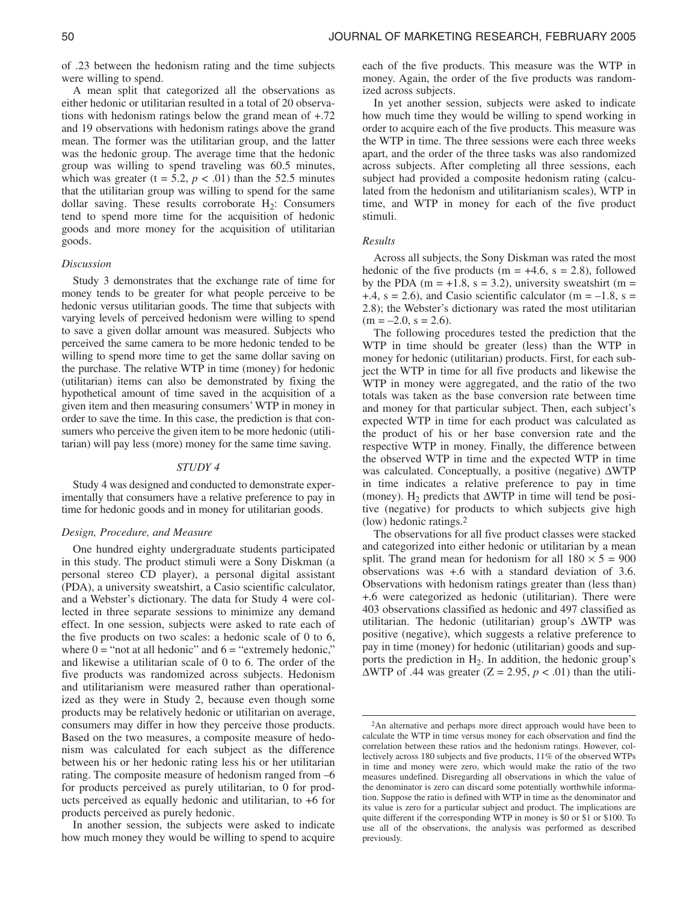of .23 between the hedonism rating and the time subjects were willing to spend.

A mean split that categorized all the observations as either hedonic or utilitarian resulted in a total of 20 observations with hedonism ratings below the grand mean of +.72 and 19 observations with hedonism ratings above the grand mean. The former was the utilitarian group, and the latter was the hedonic group. The average time that the hedonic group was willing to spend traveling was 60.5 minutes, which was greater ( $t = 5.2$ ,  $p < .01$ ) than the 52.5 minutes that the utilitarian group was willing to spend for the same dollar saving. These results corroborate  $H_2$ : Consumers tend to spend more time for the acquisition of hedonic goods and more money for the acquisition of utilitarian goods.

## *Discussion*

Study 3 demonstrates that the exchange rate of time for money tends to be greater for what people perceive to be hedonic versus utilitarian goods. The time that subjects with varying levels of perceived hedonism were willing to spend to save a given dollar amount was measured. Subjects who perceived the same camera to be more hedonic tended to be willing to spend more time to get the same dollar saving on the purchase. The relative WTP in time (money) for hedonic (utilitarian) items can also be demonstrated by fixing the hypothetical amount of time saved in the acquisition of a given item and then measuring consumers' WTP in money in order to save the time. In this case, the prediction is that consumers who perceive the given item to be more hedonic (utilitarian) will pay less (more) money for the same time saving.

# *STUDY 4*

Study 4 was designed and conducted to demonstrate experimentally that consumers have a relative preference to pay in time for hedonic goods and in money for utilitarian goods.

# *Design, Procedure, and Measure*

One hundred eighty undergraduate students participated in this study. The product stimuli were a Sony Diskman (a personal stereo CD player), a personal digital assistant (PDA), a university sweatshirt, a Casio scientific calculator, and a Webster's dictionary. The data for Study 4 were collected in three separate sessions to minimize any demand effect. In one session, subjects were asked to rate each of the five products on two scales: a hedonic scale of 0 to 6, where  $0 =$  "not at all hedonic" and  $6 =$  "extremely hedonic," and likewise a utilitarian scale of 0 to 6. The order of the five products was randomized across subjects. Hedonism and utilitarianism were measured rather than operationalized as they were in Study 2, because even though some products may be relatively hedonic or utilitarian on average, consumers may differ in how they perceive those products. Based on the two measures, a composite measure of hedonism was calculated for each subject as the difference between his or her hedonic rating less his or her utilitarian rating. The composite measure of hedonism ranged from –6 for products perceived as purely utilitarian, to 0 for products perceived as equally hedonic and utilitarian, to +6 for products perceived as purely hedonic.

In another session, the subjects were asked to indicate how much money they would be willing to spend to acquire

each of the five products. This measure was the WTP in money. Again, the order of the five products was randomized across subjects.

In yet another session, subjects were asked to indicate how much time they would be willing to spend working in order to acquire each of the five products. This measure was the WTP in time. The three sessions were each three weeks apart, and the order of the three tasks was also randomized across subjects. After completing all three sessions, each subject had provided a composite hedonism rating (calculated from the hedonism and utilitarianism scales), WTP in time, and WTP in money for each of the five product stimuli.

#### *Results*

Across all subjects, the Sony Diskman was rated the most hedonic of the five products ( $m = +4.6$ ,  $s = 2.8$ ), followed by the PDA ( $m = +1.8$ ,  $s = 3.2$ ), university sweatshirt ( $m =$ +.4, s = 2.6), and Casio scientific calculator (m =  $-1.8$ , s = 2.8); the Webster's dictionary was rated the most utilitarian  $(m = -2.0, s = 2.6).$ 

The following procedures tested the prediction that the WTP in time should be greater (less) than the WTP in money for hedonic (utilitarian) products. First, for each subject the WTP in time for all five products and likewise the WTP in money were aggregated, and the ratio of the two totals was taken as the base conversion rate between time and money for that particular subject. Then, each subject's expected WTP in time for each product was calculated as the product of his or her base conversion rate and the respective WTP in money. Finally, the difference between the observed WTP in time and the expected WTP in time was calculated. Conceptually, a positive (negative) ∆WTP in time indicates a relative preference to pay in time (money). H<sub>2</sub> predicts that  $\triangle WTP$  in time will tend be positive (negative) for products to which subjects give high (low) hedonic ratings.2

The observations for all five product classes were stacked and categorized into either hedonic or utilitarian by a mean split. The grand mean for hedonism for all  $180 \times 5 = 900$ observations was +.6 with a standard deviation of 3.6. Observations with hedonism ratings greater than (less than) +.6 were categorized as hedonic (utilitarian). There were 403 observations classified as hedonic and 497 classified as utilitarian. The hedonic (utilitarian) group's ∆WTP was positive (negative), which suggests a relative preference to pay in time (money) for hedonic (utilitarian) goods and supports the prediction in  $H_2$ . In addition, the hedonic group's  $\Delta$ WTP of .44 was greater (Z = 2.95,  $p < .01$ ) than the utili-

<sup>2</sup>An alternative and perhaps more direct approach would have been to calculate the WTP in time versus money for each observation and find the correlation between these ratios and the hedonism ratings. However, collectively across 180 subjects and five products, 11% of the observed WTPs in time and money were zero, which would make the ratio of the two measures undefined. Disregarding all observations in which the value of the denominator is zero can discard some potentially worthwhile information. Suppose the ratio is defined with WTP in time as the denominator and its value is zero for a particular subject and product. The implications are quite different if the corresponding WTP in money is \$0 or \$1 or \$100. To use all of the observations, the analysis was performed as described previously.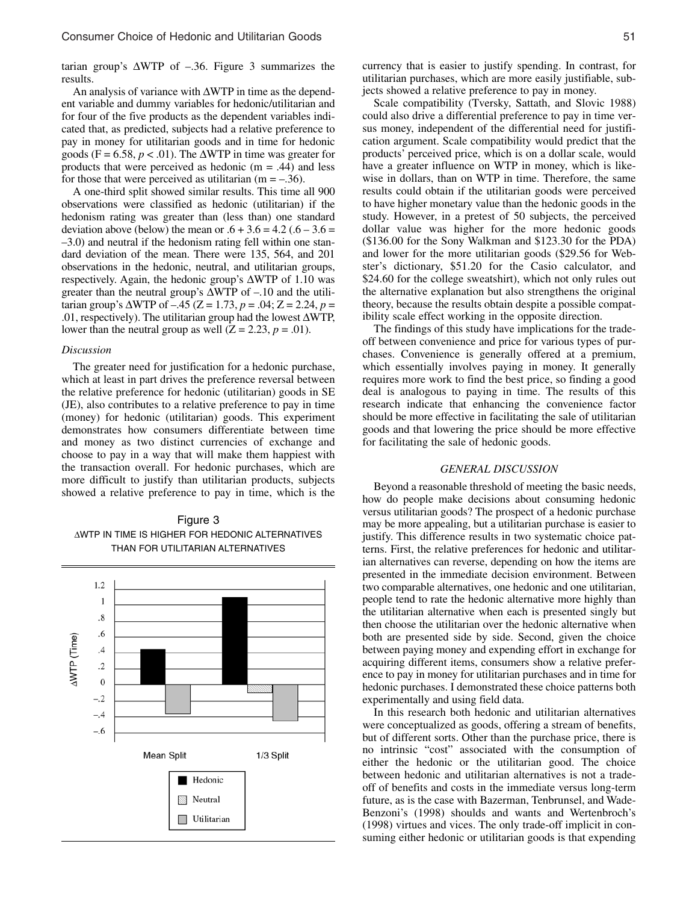tarian group's ∆WTP of –.36. Figure 3 summarizes the results.

An analysis of variance with ∆WTP in time as the dependent variable and dummy variables for hedonic/utilitarian and for four of the five products as the dependent variables indicated that, as predicted, subjects had a relative preference to pay in money for utilitarian goods and in time for hedonic goods (F = 6.58,  $p < .01$ ). The  $\triangle WTP$  in time was greater for products that were perceived as hedonic  $(m = .44)$  and less for those that were perceived as utilitarian  $(m = -0.36)$ .

A one-third split showed similar results. This time all 900 observations were classified as hedonic (utilitarian) if the hedonism rating was greater than (less than) one standard deviation above (below) the mean or  $.6 + 3.6 = 4.2$  ( $.6 - 3.6 =$ –3.0) and neutral if the hedonism rating fell within one standard deviation of the mean. There were 135, 564, and 201 observations in the hedonic, neutral, and utilitarian groups, respectively. Again, the hedonic group's ∆WTP of 1.10 was greater than the neutral group's ∆WTP of –.10 and the utilitarian group's ∆WTP of  $-.45$  ( $Z = 1.73$ ,  $p = .04$ ;  $Z = 2.24$ ,  $p =$ .01, respectively). The utilitarian group had the lowest ∆WTP, lower than the neutral group as well  $(Z = 2.23, p = .01)$ .

#### *Discussion*

The greater need for justification for a hedonic purchase, which at least in part drives the preference reversal between the relative preference for hedonic (utilitarian) goods in SE (JE), also contributes to a relative preference to pay in time (money) for hedonic (utilitarian) goods. This experiment demonstrates how consumers differentiate between time and money as two distinct currencies of exchange and choose to pay in a way that will make them happiest with the transaction overall. For hedonic purchases, which are more difficult to justify than utilitarian products, subjects showed a relative preference to pay in time, which is the





currency that is easier to justify spending. In contrast, for utilitarian purchases, which are more easily justifiable, subjects showed a relative preference to pay in money.

Scale compatibility (Tversky, Sattath, and Slovic 1988) could also drive a differential preference to pay in time versus money, independent of the differential need for justification argument. Scale compatibility would predict that the products' perceived price, which is on a dollar scale, would have a greater influence on WTP in money, which is likewise in dollars, than on WTP in time. Therefore, the same results could obtain if the utilitarian goods were perceived to have higher monetary value than the hedonic goods in the study. However, in a pretest of 50 subjects, the perceived dollar value was higher for the more hedonic goods (\$136.00 for the Sony Walkman and \$123.30 for the PDA) and lower for the more utilitarian goods (\$29.56 for Webster's dictionary, \$51.20 for the Casio calculator, and \$24.60 for the college sweatshirt), which not only rules out the alternative explanation but also strengthens the original theory, because the results obtain despite a possible compatibility scale effect working in the opposite direction.

The findings of this study have implications for the tradeoff between convenience and price for various types of purchases. Convenience is generally offered at a premium, which essentially involves paying in money. It generally requires more work to find the best price, so finding a good deal is analogous to paying in time. The results of this research indicate that enhancing the convenience factor should be more effective in facilitating the sale of utilitarian goods and that lowering the price should be more effective for facilitating the sale of hedonic goods.

#### *GENERAL DISCUSSION*

Beyond a reasonable threshold of meeting the basic needs, how do people make decisions about consuming hedonic versus utilitarian goods? The prospect of a hedonic purchase may be more appealing, but a utilitarian purchase is easier to justify. This difference results in two systematic choice patterns. First, the relative preferences for hedonic and utilitarian alternatives can reverse, depending on how the items are presented in the immediate decision environment. Between two comparable alternatives, one hedonic and one utilitarian, people tend to rate the hedonic alternative more highly than the utilitarian alternative when each is presented singly but then choose the utilitarian over the hedonic alternative when both are presented side by side. Second, given the choice between paying money and expending effort in exchange for acquiring different items, consumers show a relative preference to pay in money for utilitarian purchases and in time for hedonic purchases. I demonstrated these choice patterns both experimentally and using field data.

In this research both hedonic and utilitarian alternatives were conceptualized as goods, offering a stream of benefits, but of different sorts. Other than the purchase price, there is no intrinsic "cost" associated with the consumption of either the hedonic or the utilitarian good. The choice between hedonic and utilitarian alternatives is not a tradeoff of benefits and costs in the immediate versus long-term future, as is the case with Bazerman, Tenbrunsel, and Wade-Benzoni's (1998) shoulds and wants and Wertenbroch's (1998) virtues and vices. The only trade-off implicit in consuming either hedonic or utilitarian goods is that expending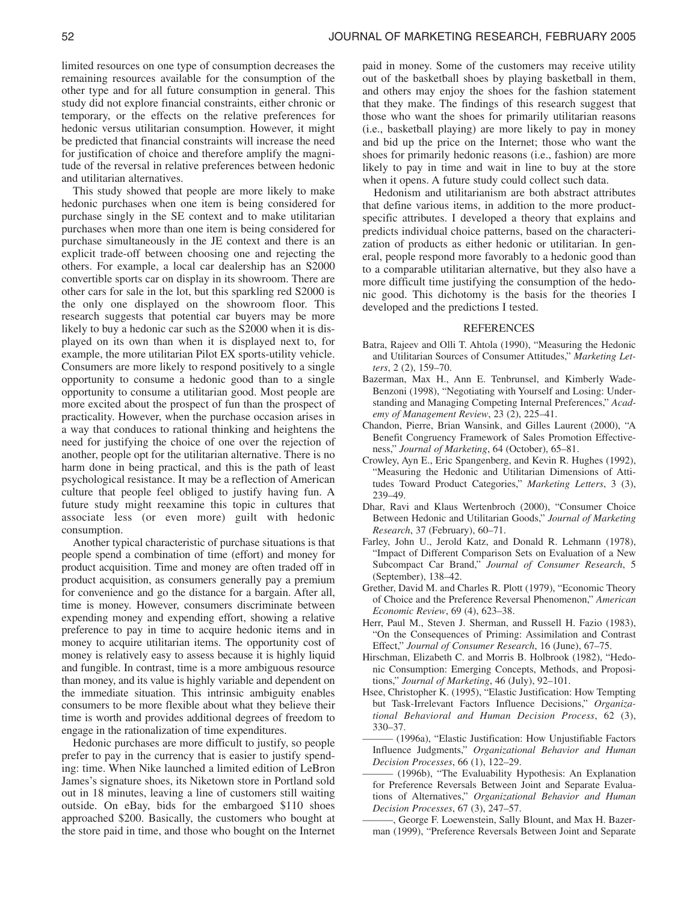limited resources on one type of consumption decreases the remaining resources available for the consumption of the other type and for all future consumption in general. This study did not explore financial constraints, either chronic or temporary, or the effects on the relative preferences for hedonic versus utilitarian consumption. However, it might be predicted that financial constraints will increase the need for justification of choice and therefore amplify the magnitude of the reversal in relative preferences between hedonic and utilitarian alternatives.

This study showed that people are more likely to make hedonic purchases when one item is being considered for purchase singly in the SE context and to make utilitarian purchases when more than one item is being considered for purchase simultaneously in the JE context and there is an explicit trade-off between choosing one and rejecting the others. For example, a local car dealership has an S2000 convertible sports car on display in its showroom. There are other cars for sale in the lot, but this sparkling red S2000 is the only one displayed on the showroom floor. This research suggests that potential car buyers may be more likely to buy a hedonic car such as the S2000 when it is displayed on its own than when it is displayed next to, for example, the more utilitarian Pilot EX sports-utility vehicle. Consumers are more likely to respond positively to a single opportunity to consume a hedonic good than to a single opportunity to consume a utilitarian good. Most people are more excited about the prospect of fun than the prospect of practicality. However, when the purchase occasion arises in a way that conduces to rational thinking and heightens the need for justifying the choice of one over the rejection of another, people opt for the utilitarian alternative. There is no harm done in being practical, and this is the path of least psychological resistance. It may be a reflection of American culture that people feel obliged to justify having fun. A future study might reexamine this topic in cultures that associate less (or even more) guilt with hedonic consumption.

Another typical characteristic of purchase situations is that people spend a combination of time (effort) and money for product acquisition. Time and money are often traded off in product acquisition, as consumers generally pay a premium for convenience and go the distance for a bargain. After all, time is money. However, consumers discriminate between expending money and expending effort, showing a relative preference to pay in time to acquire hedonic items and in money to acquire utilitarian items. The opportunity cost of money is relatively easy to assess because it is highly liquid and fungible. In contrast, time is a more ambiguous resource than money, and its value is highly variable and dependent on the immediate situation. This intrinsic ambiguity enables consumers to be more flexible about what they believe their time is worth and provides additional degrees of freedom to engage in the rationalization of time expenditures.

Hedonic purchases are more difficult to justify, so people prefer to pay in the currency that is easier to justify spending: time. When Nike launched a limited edition of LeBron James's signature shoes, its Niketown store in Portland sold out in 18 minutes, leaving a line of customers still waiting outside. On eBay, bids for the embargoed \$110 shoes approached \$200. Basically, the customers who bought at the store paid in time, and those who bought on the Internet paid in money. Some of the customers may receive utility out of the basketball shoes by playing basketball in them, and others may enjoy the shoes for the fashion statement that they make. The findings of this research suggest that those who want the shoes for primarily utilitarian reasons (i.e., basketball playing) are more likely to pay in money and bid up the price on the Internet; those who want the shoes for primarily hedonic reasons (i.e., fashion) are more likely to pay in time and wait in line to buy at the store when it opens. A future study could collect such data.

Hedonism and utilitarianism are both abstract attributes that define various items, in addition to the more productspecific attributes. I developed a theory that explains and predicts individual choice patterns, based on the characterization of products as either hedonic or utilitarian. In general, people respond more favorably to a hedonic good than to a comparable utilitarian alternative, but they also have a more difficult time justifying the consumption of the hedonic good. This dichotomy is the basis for the theories I developed and the predictions I tested.

#### REFERENCES

- Batra, Rajeev and Olli T. Ahtola (1990), "Measuring the Hedonic and Utilitarian Sources of Consumer Attitudes," *Marketing Letters*, 2 (2), 159–70.
- Bazerman, Max H., Ann E. Tenbrunsel, and Kimberly Wade-Benzoni (1998), "Negotiating with Yourself and Losing: Understanding and Managing Competing Internal Preferences," *Academy of Management Review*, 23 (2), 225–41.
- Chandon, Pierre, Brian Wansink, and Gilles Laurent (2000), "A Benefit Congruency Framework of Sales Promotion Effectiveness," *Journal of Marketing*, 64 (October), 65–81.
- Crowley, Ayn E., Eric Spangenberg, and Kevin R. Hughes (1992), "Measuring the Hedonic and Utilitarian Dimensions of Attitudes Toward Product Categories," *Marketing Letters*, 3 (3), 239–49.
- Dhar, Ravi and Klaus Wertenbroch (2000), "Consumer Choice Between Hedonic and Utilitarian Goods," *Journal of Marketing Research*, 37 (February), 60–71.
- Farley, John U., Jerold Katz, and Donald R. Lehmann (1978), "Impact of Different Comparison Sets on Evaluation of a New Subcompact Car Brand," *Journal of Consumer Research*, 5 (September), 138–42.
- Grether, David M. and Charles R. Plott (1979), "Economic Theory of Choice and the Preference Reversal Phenomenon," *American Economic Review*, 69 (4), 623–38.
- Herr, Paul M., Steven J. Sherman, and Russell H. Fazio (1983), "On the Consequences of Priming: Assimilation and Contrast Effect," *Journal of Consumer Research*, 16 (June), 67–75.
- Hirschman, Elizabeth C. and Morris B. Holbrook (1982), "Hedonic Consumption: Emerging Concepts, Methods, and Propositions," *Journal of Marketing*, 46 (July), 92–101.
- Hsee, Christopher K. (1995), "Elastic Justification: How Tempting but Task-Irrelevant Factors Influence Decisions," *Organizational Behavioral and Human Decision Process*, 62 (3), 330–37.
- (1996a), "Elastic Justification: How Unjustifiable Factors Influence Judgments," *Organizational Behavior and Human Decision Processes*, 66 (1), 122–29.
- (1996b), "The Evaluability Hypothesis: An Explanation for Preference Reversals Between Joint and Separate Evaluations of Alternatives," *Organizational Behavior and Human Decision Processes*, 67 (3), 247–57.
- -, George F. Loewenstein, Sally Blount, and Max H. Bazerman (1999), "Preference Reversals Between Joint and Separate